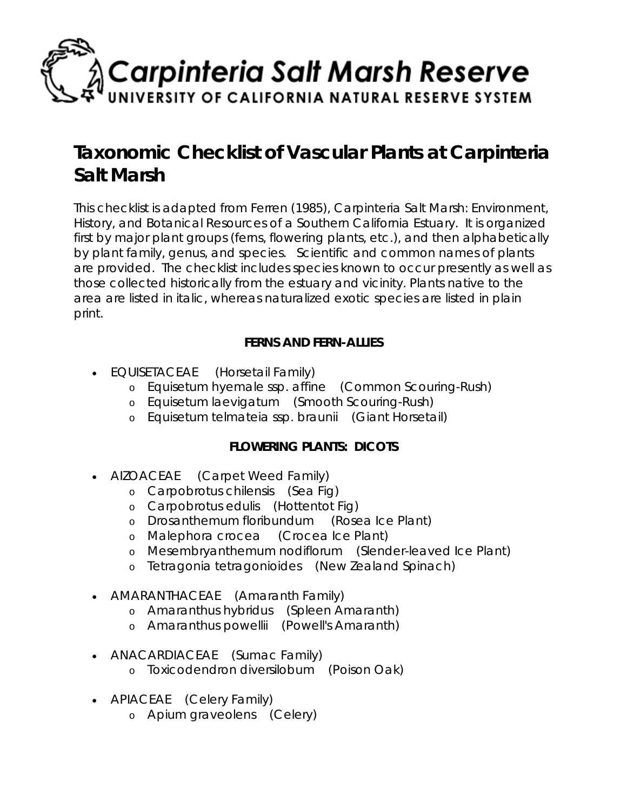

## **Taxonomic Checklist of Vascular Plants at Carpinteria Salt Marsh**

This checklist is adapted from Ferren (1985), Carpinteria Salt Marsh: Environment, History, and Botanical Resources of a Southern California Estuary. It is organized first by major plant groups (ferns, flowering plants, etc.), and then alphabetically by plant family, genus, and species. Scientific and common names of plants are provided. The checklist includes species known to occur presently as well as those collected historically from the estuary and vicinity. Plants native to the area are listed in italic, whereas naturalized exotic species are listed in plain print.

## **FERNS AND FERN-ALLIES**

- *EQUISETACEAE* (Horsetail Family)
	- o *Equisetum hyemale ssp. affine* (Common Scouring-Rush)
	- o *Equisetum laevigatum* (Smooth Scouring-Rush)
	- o *Equisetum telmateia ssp. braunii* (Giant Horsetail)

## **FLOWERING PLANTS: DICOTS**

- *AIZOACEAE* (Carpet Weed Family)
	- o *Carpobrotus chilensis* (Sea Fig)
	- o *Carpobrotus edulis* (Hottentot Fig)
	- o *Drosanthemum floribundum* (Rosea Ice Plant)
	- o *Malephora crocea* (Crocea Ice Plant)
	- o *Mesembryanthemum nodiflorum* (Slender-leaved Ice Plant)
	- o *Tetragonia tetragonioides* (New Zealand Spinach)
- *AMARANTHACEAE* (Amaranth Family)
	- o *Amaranthus hybridus* (Spleen Amaranth)
	- o *Amaranthus powellii* (Powell's Amaranth)
- *ANACARDIACEAE* (Sumac Family)
	- o *Toxicodendron diversilobum* (Poison Oak)
- *APIACEAE* (Celery Family)
	- o *Apium graveolens* (Celery)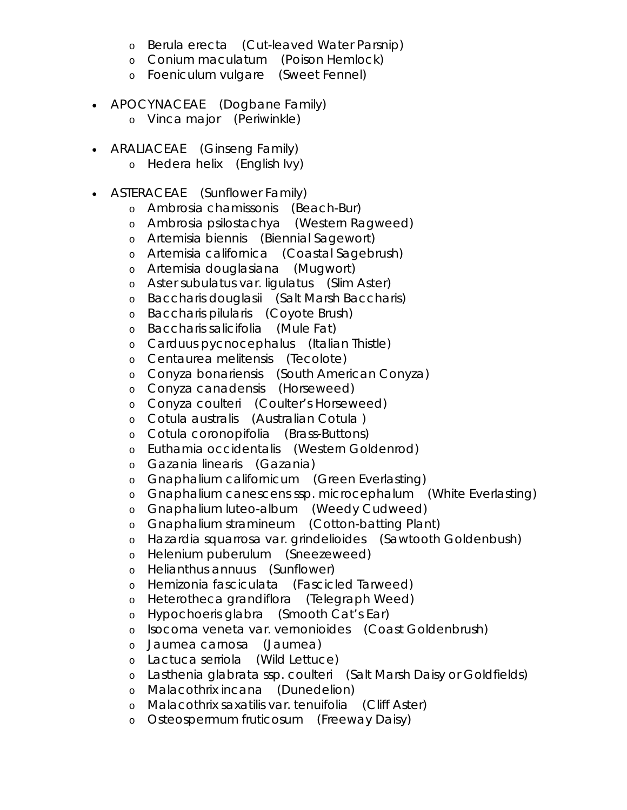- o *Berula erecta* (Cut-leaved Water Parsnip)
- o *Conium maculatum* (Poison Hemlock)
- o *Foeniculum vulgare* (Sweet Fennel)
- *APOCYNACEAE* (Dogbane Family)
	- o *Vinca major* (Periwinkle)
- *ARALIACEAE* (Ginseng Family)
	- o *Hedera helix* (English Ivy)
- *ASTERACEAE* (Sunflower Family)
	- o *Ambrosia chamissonis* (Beach-Bur)
	- o *Ambrosia psilostachya* (Western Ragweed)
	- o *Artemisia biennis* (Biennial Sagewort)
	- o *Artemisia californica* (Coastal Sagebrush)
	- o *Artemisia douglasiana* (Mugwort)
	- o *Aster subulatus var. ligulatus* (Slim Aster)
	- o *Baccharis douglasii* (Salt Marsh Baccharis)
	- o *Baccharis pilularis* (Coyote Brush)
	- o *Baccharis salicifolia* (Mule Fat)
	- o *Carduus pycnocephalus* (Italian Thistle)
	- o *Centaurea melitensis* (Tecolote)
	- o *Conyza bonariensis* (South American Conyza)
	- o *Conyza canadensis* (Horseweed)
	- o *Conyza coulteri* (Coulter's Horseweed)
	- o *Cotula australis* (Australian Cotula )
	- o *Cotula coronopifolia* (Brass-Buttons)
	- o *Euthamia occidentalis* (Western Goldenrod)
	- o *Gazania linearis* (Gazania)
	- o *Gnaphalium californicum* (Green Everlasting)
	- o *Gnaphalium canescens ssp. microcephalum* (White Everlasting)
	- o *Gnaphalium luteo-album* (Weedy Cudweed)
	- o *Gnaphalium stramineum* (Cotton-batting Plant)
	- o *Hazardia squarrosa var. grindelioides* (Sawtooth Goldenbush)
	- o *Helenium puberulum* (Sneezeweed)
	- o *Helianthus annuus* (Sunflower)
	- o *Hemizonia fasciculata* (Fascicled Tarweed)
	- o *Heterotheca grandiflora* (Telegraph Weed)
	- o *Hypochoeris glabra* (Smooth Cat's Ear)
	- o *Isocoma veneta var. vernonioides* (Coast Goldenbrush)
	- o *Jaumea carnosa* (Jaumea)
	- o *Lactuca serriola* (Wild Lettuce)
	- o *Lasthenia glabrata ssp. coulteri* (Salt Marsh Daisy or Goldfields)
	- o *Malacothrix incana* (Dunedelion)
	- o *Malacothrix saxatilis var. tenuifolia* (Cliff Aster)
	- o *Osteospermum fruticosum* (Freeway Daisy)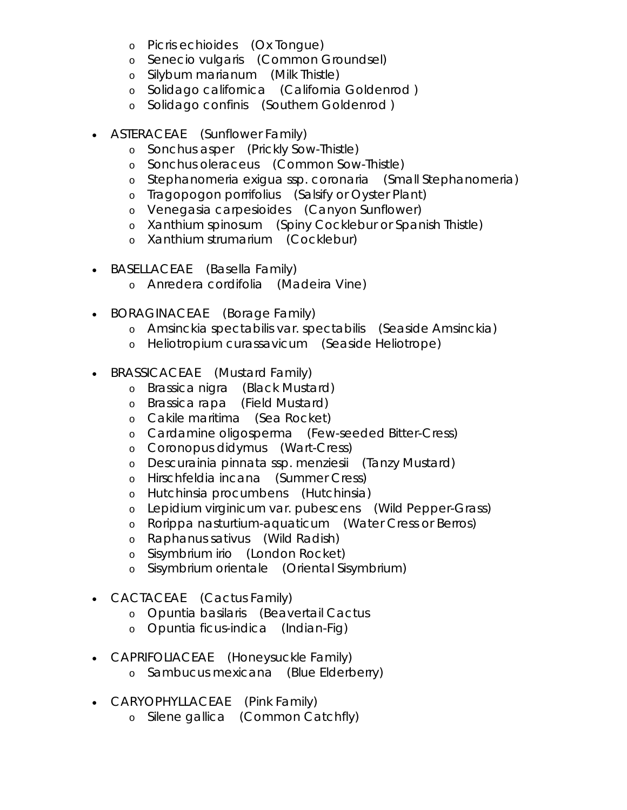- o *Picris echioides* (Ox Tongue)
- o *Senecio vulgaris* (Common Groundsel)
- o *Silybum marianum* (Milk Thistle)
- o *Solidago californica* (California Goldenrod )
- o *Solidago confinis* (Southern Goldenrod )
- *ASTERACEAE* (Sunflower Family)
	- o *Sonchus asper* (Prickly Sow-Thistle)
	- o *Sonchus oleraceus* (Common Sow-Thistle)
	- o *Stephanomeria exigua ssp. coronaria* (Small Stephanomeria)
	- o *Tragopogon porrifolius* (Salsify or Oyster Plant)
	- o *Venegasia carpesioides* (Canyon Sunflower)
	- o *Xanthium spinosum* (Spiny Cocklebur or Spanish Thistle)
	- o *Xanthium strumarium* (Cocklebur)
- *BASELLACEAE* (Basella Family)
	- o *Anredera cordifolia* (Madeira Vine)
- *BORAGINACEAE* (Borage Family)
	- o *Amsinckia spectabilis var. spectabilis* (Seaside Amsinckia)
	- o *Heliotropium curassavicum* (Seaside Heliotrope)
- *BRASSICACEAE* (Mustard Family)
	- o *Brassica nigra* (Black Mustard)
	- o *Brassica rapa* (Field Mustard)
	- o *Cakile maritima* (Sea Rocket)
	- o *Cardamine oligosperma* (Few-seeded Bitter-Cress)
	- o *Coronopus didymus* (Wart-Cress)
	- o *Descurainia pinnata ssp. menziesii* (Tanzy Mustard)
	- o *Hirschfeldia incana* (Summer Cress)
	- o *Hutchinsia procumbens* (Hutchinsia)
	- o *Lepidium virginicum var. pubescens* (Wild Pepper-Grass)
	- o *Rorippa nasturtium-aquaticum* (Water Cress or Berros)
	- o *Raphanus sativus* (Wild Radish)
	- o *Sisymbrium irio* (London Rocket)
	- o *Sisymbrium orientale* (Oriental Sisymbrium)
- *CACTACEAE* (Cactus Family)
	- o *Opuntia basilaris* (Beavertail Cactus
	- o *Opuntia ficus-indica* (Indian-Fig)
- *CAPRIFOLIACEAE* (Honeysuckle Family)
	- o *Sambucus mexicana* (Blue Elderberry)
- *CARYOPHYLLACEAE* (Pink Family)
	- o *Silene gallica* (Common Catchfly)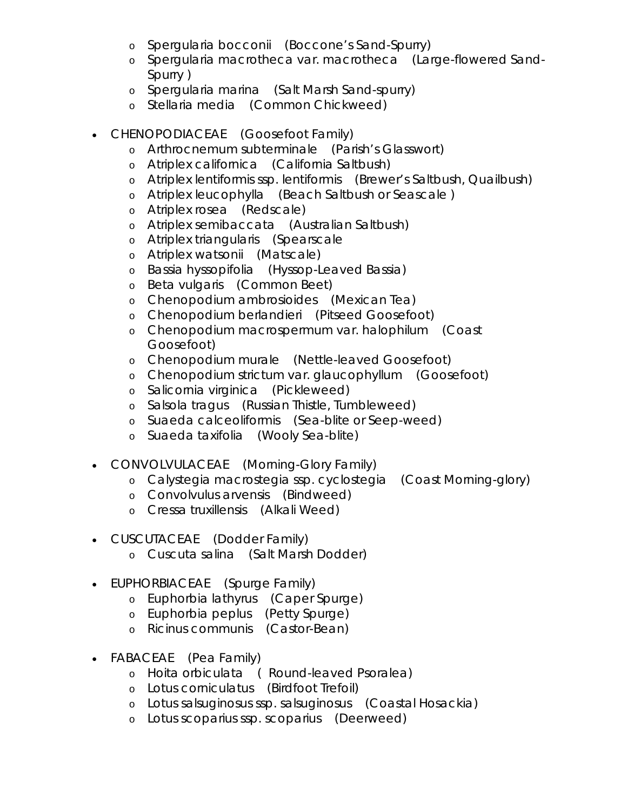- o *Spergularia bocconii* (Boccone's Sand-Spurry)
- o *Spergularia macrotheca var. macrotheca* (Large-flowered Sand-Spurry )
- o *Spergularia marina* (Salt Marsh Sand-spurry)
- o *Stellaria media* (Common Chickweed)
- *CHENOPODIACEAE* (Goosefoot Family)
	- o *Arthrocnemum subterminale* (Parish's Glasswort)
	- o *Atriplex californica* (California Saltbush)
	- o *Atriplex lentiformis ssp. lentiformis* (Brewer's Saltbush, Quailbush)
	- o *Atriplex leucophylla* (Beach Saltbush or Seascale )
	- o *Atriplex rosea* (Redscale)
	- o *Atriplex semibaccata* (Australian Saltbush)
	- o *Atriplex triangularis* (Spearscale
	- o *Atriplex watsonii* (Matscale)
	- o *Bassia hyssopifolia* (Hyssop-Leaved Bassia)
	- o *Beta vulgaris* (Common Beet)
	- o *Chenopodium ambrosioides* (Mexican Tea)
	- o *Chenopodium berlandieri* (Pitseed Goosefoot)
	- o *Chenopodium macrospermum var. halophilum* (Coast Goosefoot)
	- o *Chenopodium murale* (Nettle-leaved Goosefoot)
	- o *Chenopodium strictum var. glaucophyllum* (Goosefoot)
	- o *Salicornia virginica* (Pickleweed)
	- o *Salsola tragus* (Russian Thistle, Tumbleweed)
	- o *Suaeda calceoliformis* (Sea-blite or Seep-weed)
	- o *Suaeda taxifolia* (Wooly Sea-blite)
- *CONVOLVULACEAE* (Morning-Glory Family)
	- o *Calystegia macrostegia ssp. cyclostegia* (Coast Morning-glory)
	- o *Convolvulus arvensis* (Bindweed)
	- o *Cressa truxillensis* (Alkali Weed)
- *CUSCUTACEAE* (Dodder Family)
	- o *Cuscuta salina* (Salt Marsh Dodder)
- *EUPHORBIACEAE* (Spurge Family)
	- o *Euphorbia lathyrus* (Caper Spurge)
	- o *Euphorbia peplus* (Petty Spurge)
	- o *Ricinus communis* (Castor-Bean)
- *FABACEAE* (Pea Family)
	- o *Hoita orbiculata* ( Round-leaved Psoralea)
	- o *Lotus corniculatus* (Birdfoot Trefoil)
	- o *Lotus salsuginosus ssp. salsuginosus* (Coastal Hosackia)
	- o *Lotus scoparius ssp. scoparius* (Deerweed)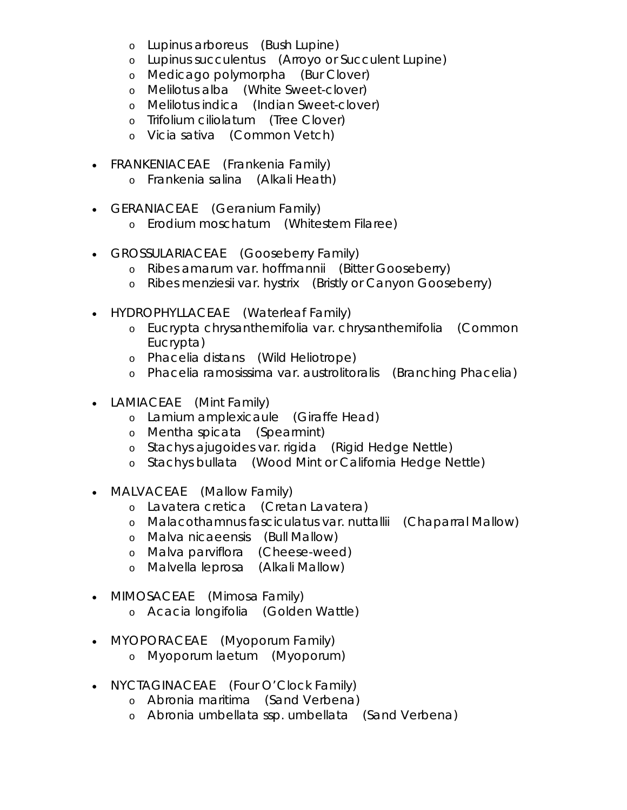- o *Lupinus arboreus* (Bush Lupine)
- o *Lupinus succulentus* (Arroyo or Succulent Lupine)
- o *Medicago polymorpha* (Bur Clover)
- o *Melilotus alba* (White Sweet-clover)
- o *Melilotus indica* (Indian Sweet-clover)
- o *Trifolium ciliolatum* (Tree Clover)
- o *Vicia sativa* (Common Vetch)
- FRANKENIACEAE (Frankenia Family)
	- o *Frankenia salina* (Alkali Heath)
- GERANIACEAE (Geranium Family)
	- o *Erodium moschatum* (Whitestem Filaree)
- *GROSSULARIACEAE* (Gooseberry Family)
	- o *Ribes amarum var. hoffmannii* (Bitter Gooseberry)
	- o *Ribes menziesii var. hystrix* (Bristly or Canyon Gooseberry)
- *HYDROPHYLLACEAE* (Waterleaf Family)
	- o *Eucrypta chrysanthemifolia var. chrysanthemifolia* (Common Eucrypta)
	- o *Phacelia distans* (Wild Heliotrope)
	- o *Phacelia ramosissima var. austrolitoralis* (Branching Phacelia)
- *LAMIACEAE* (Mint Family)
	- o *Lamium amplexicaule* (Giraffe Head)
	- o *Mentha spicata* (Spearmint)
	- o *Stachys ajugoides var. rigida* (Rigid Hedge Nettle)
	- o *Stachys bullata* (Wood Mint or California Hedge Nettle)
- *MALVACEAE* (Mallow Family)
	- o *Lavatera cretica* (Cretan Lavatera)
	- o *Malacothamnus fasciculatus var. nuttallii* (Chaparral Mallow)
	- o *Malva nicaeensis* (Bull Mallow)
	- o *Malva parviflora* (Cheese-weed)
	- o *Malvella leprosa* (Alkali Mallow)
- *MIMOSACEAE* (Mimosa Family)
	- o *Acacia longifolia* (Golden Wattle)
- *MYOPORACEAE* (Myoporum Family)
	- o *Myoporum laetum* (Myoporum)
- *NYCTAGINACEAE* (Four O'Clock Family)
	- o *Abronia maritima* (Sand Verbena)
	- o *Abronia umbellata ssp. umbellata* (Sand Verbena)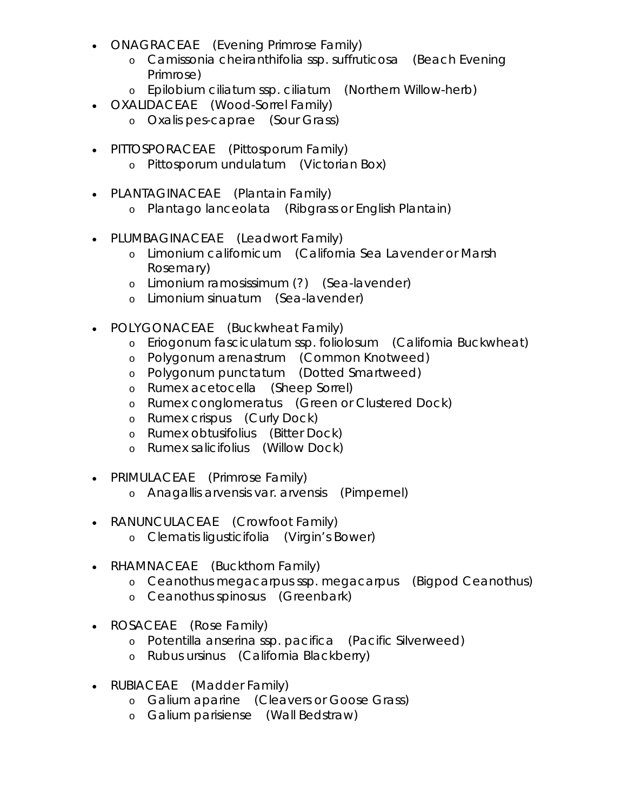- *ONAGRACEAE* (Evening Primrose Family)
	- o *Camissonia cheiranthifolia ssp. suffruticosa* (Beach Evening Primrose)
	- o *Epilobium ciliatum ssp. ciliatum* (Northern Willow-herb)
- *OXALIDACEAE* (Wood-Sorrel Family)
	- o *Oxalis pes-caprae* (Sour Grass)
- *PITTOSPORACEAE* (Pittosporum Family) o *Pittosporum undulatum* (Victorian Box)
- *PLANTAGINACEAE* (Plantain Family)
	- o *Plantago lanceolata* (Ribgrass or English Plantain)
- *PLUMBAGINACEAE* (Leadwort Family)
	- o *Limonium californicum* (California Sea Lavender or Marsh Rosemary)
	- o *Limonium ramosissimum* (?) (Sea-lavender)
	- o *Limonium sinuatum* (Sea-lavender)
- *POLYGONACEAE* (Buckwheat Family)
	- o *Eriogonum fasciculatum ssp. foliolosum* (California Buckwheat)
	- o *Polygonum arenastrum* (Common Knotweed)
	- o *Polygonum punctatum* (Dotted Smartweed)
	- o *Rumex acetocella* (Sheep Sorrel)
	- o *Rumex conglomeratus* (Green or Clustered Dock)
	- o *Rumex crispus* (Curly Dock)
	- o *Rumex obtusifolius* (Bitter Dock)
	- o *Rumex salicifolius* (Willow Dock)
- *PRIMULACEAE* (Primrose Family)
	- o *Anagallis arvensis var. arvensis* (Pimpernel)
- *RANUNCULACEAE* (Crowfoot Family)
	- o *Clematis ligusticifolia* (Virgin's Bower)
- *RHAMNACEAE* (Buckthorn Family)
	- o *Ceanothus megacarpus ssp. megacarpus* (Bigpod Ceanothus)
	- o *Ceanothus spinosus* (Greenbark)
- *ROSACEAE* (Rose Family)
	- o *Potentilla anserina ssp. pacifica* (Pacific Silverweed)
	- o *Rubus ursinus* (California Blackberry)
- *RUBIACEAE* (Madder Family)
	- o *Galium aparine* (Cleavers or Goose Grass)
	- o *Galium parisiense* (Wall Bedstraw)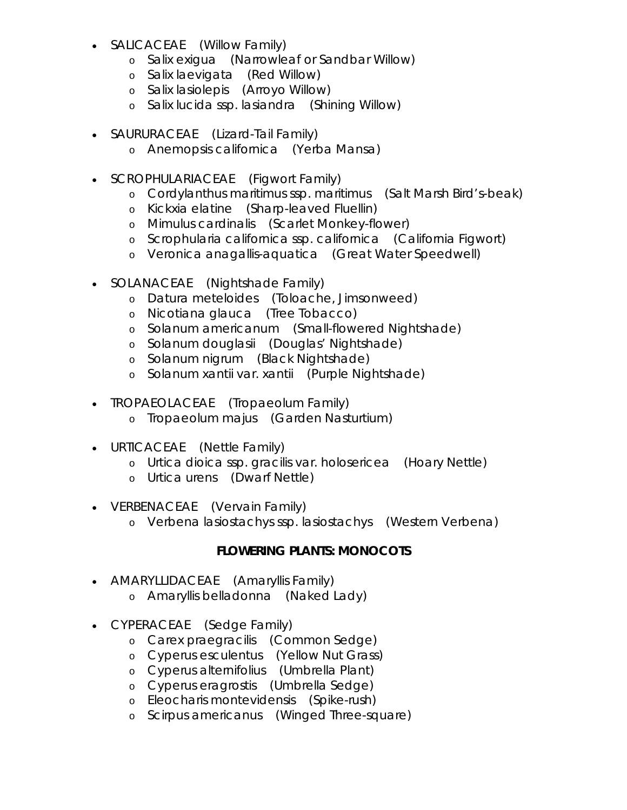- *SALICACEAE* (Willow Family)
	- o *Salix exigua* (Narrowleaf or Sandbar Willow)
	- o *Salix laevigata* (Red Willow)
	- o *Salix lasiolepis* (Arroyo Willow)
	- o *Salix lucida ssp. lasiandra* (Shining Willow)
- *SAURURACEAE* (Lizard-Tail Family)
	- o *Anemopsis californica* (Yerba Mansa)
- *SCROPHULARIACEAE* (Figwort Family)
	- o *Cordylanthus maritimus ssp. maritimus* (Salt Marsh Bird's-beak)
	- o *Kickxia elatine* (Sharp-leaved Fluellin)
	- o *Mimulus cardinalis* (Scarlet Monkey-flower)
	- o *Scrophularia californica ssp. californica* (California Figwort)
	- o *Veronica anagallis-aquatica* (Great Water Speedwell)
- *SOLANACEAE* (Nightshade Family)
	- o *Datura meteloides* (Toloache, Jimsonweed)
	- o *Nicotiana glauca* (Tree Tobacco)
	- o *Solanum americanum* (Small-flowered Nightshade)
	- o *Solanum douglasii* (Douglas' Nightshade)
	- o *Solanum nigrum* (Black Nightshade)
	- o *Solanum xantii var. xantii* (Purple Nightshade)
- *TROPAEOLACEAE* (Tropaeolum Family)
	- o *Tropaeolum majus* (Garden Nasturtium)
- *URTICACEAE* (Nettle Family)
	- o *Urtica dioica ssp. gracilis var. holosericea* (Hoary Nettle)
	- o *Urtica urens* (Dwarf Nettle)
- *VERBENACEAE* (Vervain Family)
	- o *Verbena lasiostachys ssp. lasiostachys* (Western Verbena)

## **FLOWERING PLANTS: MONOCOTS**

- *AMARYLLIDACEAE* (Amaryllis Family)
	- o *Amaryllis belladonna* (Naked Lady)
- *CYPERACEAE* (Sedge Family)
	- o *Carex praegracilis* (Common Sedge)
	- o *Cyperus esculentus* (Yellow Nut Grass)
	- o *Cyperus alternifolius* (Umbrella Plant)
	- o *Cyperus eragrostis* (Umbrella Sedge)
	- o *Eleocharis montevidensis* (Spike-rush)
	- o *Scirpus americanus* (Winged Three-square)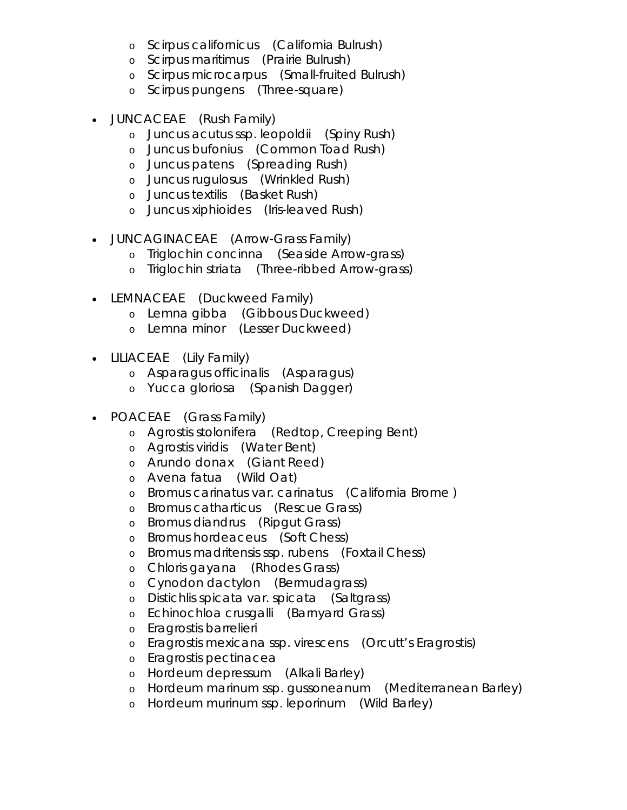- o *Scirpus californicus* (California Bulrush)
- o *Scirpus maritimus* (Prairie Bulrush)
- o *Scirpus microcarpus* (Small-fruited Bulrush)
- o *Scirpus pungens* (Three-square)
- *JUNCACEAE* (Rush Family)
	- o *Juncus acutus ssp. leopoldii* (Spiny Rush)
	- o *Juncus bufonius* (Common Toad Rush)
	- o *Juncus patens* (Spreading Rush)
	- o *Juncus rugulosus* (Wrinkled Rush)
	- o *Juncus textilis* (Basket Rush)
	- o *Juncus xiphioides* (Iris-leaved Rush)
- *JUNCAGINACEAE* (Arrow-Grass Family)
	- o *Triglochin concinna* (Seaside Arrow-grass)
	- o *Triglochin striata* (Three-ribbed Arrow-grass)
- *LEMNACEAE* (Duckweed Family)
	- o *Lemna gibba* (Gibbous Duckweed)
	- o *Lemna minor* (Lesser Duckweed)
- *LILIACEAE* (Lily Family)
	- o *Asparagus officinalis* (Asparagus)
	- o Yucca gloriosa (Spanish Dagger)
- *POACEAE* (Grass Family)
	- o *Agrostis stolonifera* (Redtop, Creeping Bent)
	- o *Agrostis viridis* (Water Bent)
	- o *Arundo donax* (Giant Reed)
	- o *Avena fatua* (Wild Oat)
	- o *Bromus carinatus var. carinatus* (California Brome )
	- o *Bromus catharticus* (Rescue Grass)
	- o *Bromus diandrus* (Ripgut Grass)
	- o *Bromus hordeaceus* (Soft Chess)
	- o *Bromus madritensis ssp. rubens* (Foxtail Chess)
	- o *Chloris gayana* (Rhodes Grass)
	- o *Cynodon dactylon* (Bermudagrass)
	- o *Distichlis spicata var. spicata* (Saltgrass)
	- o *Echinochloa crusgalli* (Barnyard Grass)
	- o *Eragrostis barrelieri*
	- o *Eragrostis mexicana ssp. virescens* (Orcutt's Eragrostis)
	- o *Eragrostis pectinacea*
	- o *Hordeum depressum* (Alkali Barley)
	- o *Hordeum marinum ssp. gussoneanum* (Mediterranean Barley)
	- o *Hordeum murinum ssp. leporinum* (Wild Barley)